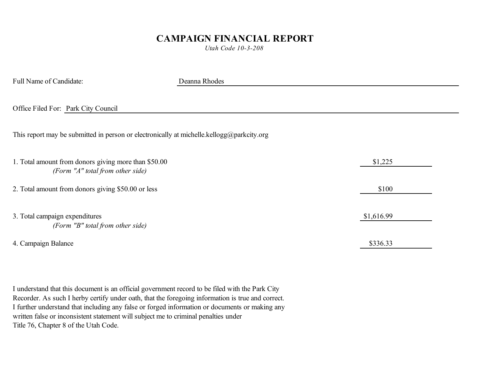## **CAMPAIGN FINANCIAL REPORT**

*Utah Code 10-3-208*

| Full Name of Candidate:                                                                   | Deanna Rhodes |            |
|-------------------------------------------------------------------------------------------|---------------|------------|
| Office Filed For: Park City Council                                                       |               |            |
| This report may be submitted in person or electronically at michelle.kellogg@parkcity.org |               |            |
| 1. Total amount from donors giving more than \$50.00<br>(Form "A" total from other side)  |               | \$1,225    |
| 2. Total amount from donors giving \$50.00 or less                                        |               | \$100      |
| 3. Total campaign expenditures<br>(Form "B" total from other side)                        |               | \$1,616.99 |
| 4. Campaign Balance                                                                       |               | \$336.33   |

I understand that this document is an official government record to be filed with the Park City Recorder. As such I herby certify under oath, that the foregoing information is true and correct. I further understand that including any false or forged information or documents or making any written false or inconsistent statement will subject me to criminal penalties under Title 76, Chapter 8 of the Utah Code.